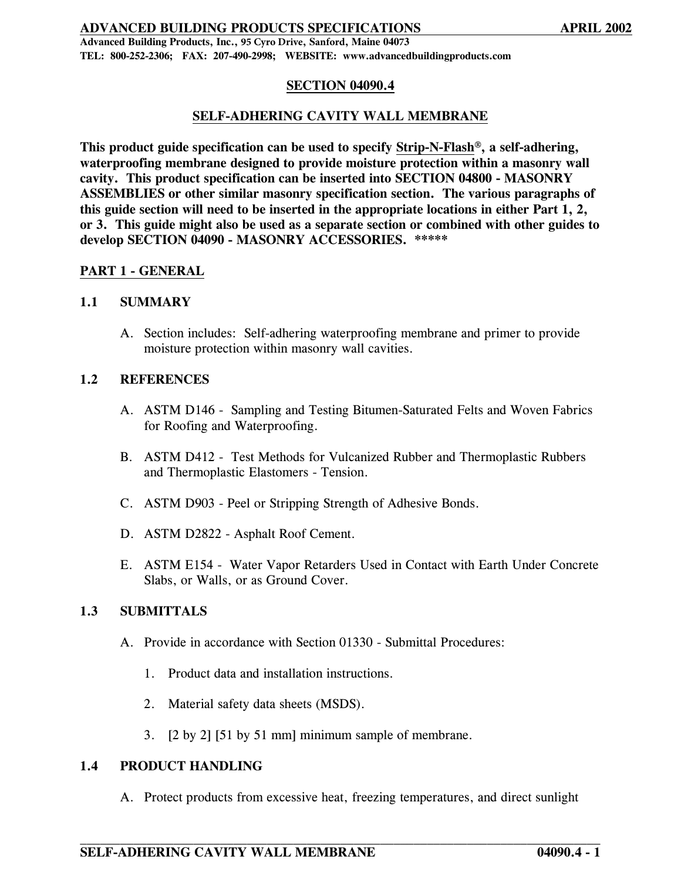**Advanced Building Products, Inc., 95 Cyro Drive, Sanford, Maine 04073 TEL: 800-252-2306; FAX: 207-490-2998; WEBSITE: www.advancedbuildingproducts.com** 

# **SECTION 04090.4**

## **SELF-ADHERING CAVITY WALL MEMBRANE**

**This product guide specification can be used to specify Strip-N-Flash**®**, a self-adhering, waterproofing membrane designed to provide moisture protection within a masonry wall cavity. This product specification can be inserted into SECTION 04800 - MASONRY ASSEMBLIES or other similar masonry specification section. The various paragraphs of this guide section will need to be inserted in the appropriate locations in either Part 1, 2, or 3. This guide might also be used as a separate section or combined with other guides to develop SECTION 04090 - MASONRY ACCESSORIES. \*\*\*\*\*** 

#### **PART 1 - GENERAL**

#### **1.1 SUMMARY**

A. Section includes: Self-adhering waterproofing membrane and primer to provide moisture protection within masonry wall cavities.

#### **1.2 REFERENCES**

- A. ASTM D146 Sampling and Testing Bitumen-Saturated Felts and Woven Fabrics for Roofing and Waterproofing.
- B. ASTM D412 Test Methods for Vulcanized Rubber and Thermoplastic Rubbers and Thermoplastic Elastomers - Tension.
- C. ASTM D903 Peel or Stripping Strength of Adhesive Bonds.
- D. ASTM D2822 Asphalt Roof Cement.
- E. ASTM E154 Water Vapor Retarders Used in Contact with Earth Under Concrete Slabs, or Walls, or as Ground Cover.

## **1.3 SUBMITTALS**

- A. Provide in accordance with Section 01330 Submittal Procedures:
	- 1. Product data and installation instructions.
	- 2. Material safety data sheets (MSDS).
	- 3. [2 by 2] [51 by 51 mm] minimum sample of membrane.

#### **1.4 PRODUCT HANDLING**

A. Protect products from excessive heat, freezing temperatures, and direct sunlight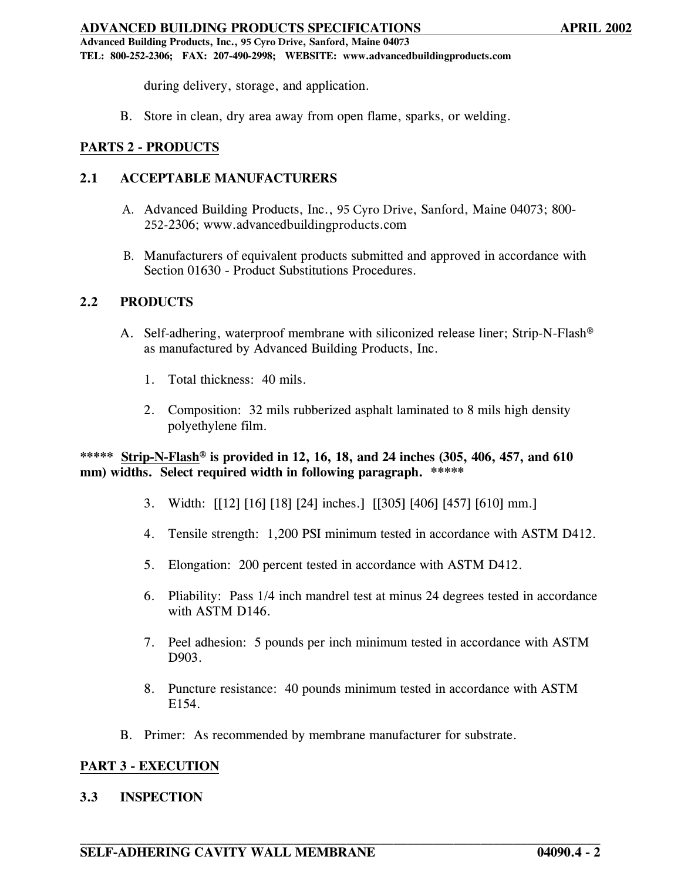**Advanced Building Products, Inc., 95 Cyro Drive, Sanford, Maine 04073 TEL: 800-252-2306; FAX: 207-490-2998; WEBSITE: www.advancedbuildingproducts.com** 

during delivery, storage, and application.

B. Store in clean, dry area away from open flame, sparks, or welding.

# **PARTS 2 - PRODUCTS**

# **2.1 ACCEPTABLE MANUFACTURERS**

- A. Advanced Building Products, Inc., 95 Cyro Drive, Sanford, Maine 04073; 800- 252-2306; www.advancedbuildingproducts.com
- B. Manufacturers of equivalent products submitted and approved in accordance with Section 01630 - Product Substitutions Procedures.

## **2.2 PRODUCTS**

- A. Self-adhering, waterproof membrane with siliconized release liner; Strip-N-Flash® as manufactured by Advanced Building Products, Inc.
	- 1. Total thickness: 40 mils.
	- 2. Composition: 32 mils rubberized asphalt laminated to 8 mils high density polyethylene film.

# **\*\*\*\*\* Strip-N-Flash**® **is provided in 12, 16, 18, and 24 inches (305, 406, 457, and 610 mm) widths. Select required width in following paragraph. \*\*\*\*\***

- 3. Width: [[12] [16] [18] [24] inches.] [[305] [406] [457] [610] mm.]
- 4. Tensile strength: 1,200 PSI minimum tested in accordance with ASTM D412.
- 5. Elongation: 200 percent tested in accordance with ASTM D412.
- 6. Pliability: Pass 1/4 inch mandrel test at minus 24 degrees tested in accordance with ASTM D146.
- 7. Peel adhesion: 5 pounds per inch minimum tested in accordance with ASTM D903.
- 8. Puncture resistance: 40 pounds minimum tested in accordance with ASTM E154.
- B. Primer: As recommended by membrane manufacturer for substrate.

# **PART 3 - EXECUTION**

#### **3.3 INSPECTION**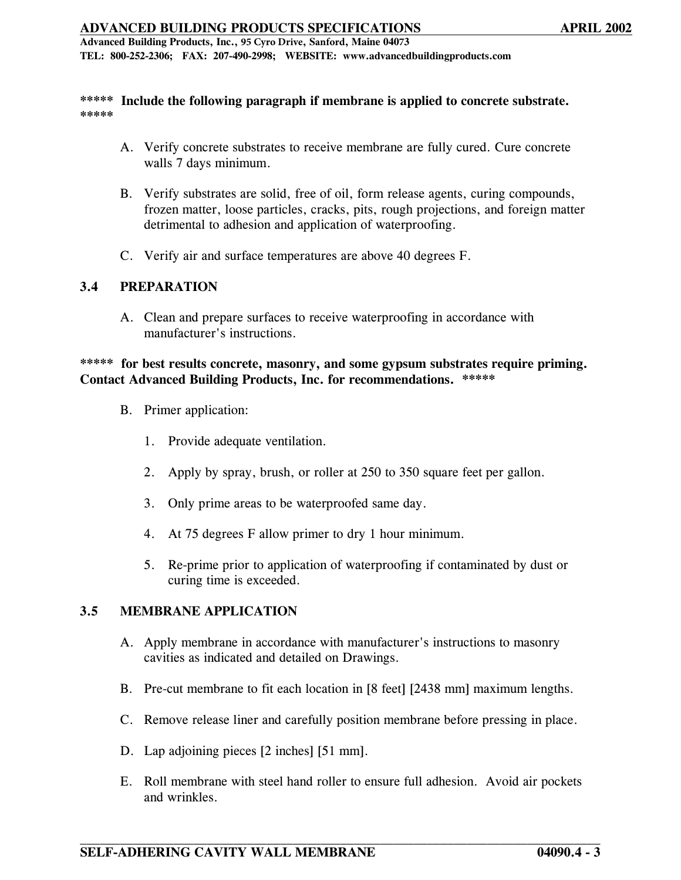**Advanced Building Products, Inc., 95 Cyro Drive, Sanford, Maine 04073 TEL: 800-252-2306; FAX: 207-490-2998; WEBSITE: www.advancedbuildingproducts.com** 

#### **\*\*\*\*\* Include the following paragraph if membrane is applied to concrete substrate. \*\*\*\*\***

- A. Verify concrete substrates to receive membrane are fully cured. Cure concrete walls 7 days minimum.
- B. Verify substrates are solid, free of oil, form release agents, curing compounds, frozen matter, loose particles, cracks, pits, rough projections, and foreign matter detrimental to adhesion and application of waterproofing.
- C. Verify air and surface temperatures are above 40 degrees F.

# **3.4 PREPARATION**

A. Clean and prepare surfaces to receive waterproofing in accordance with manufacturer's instructions.

#### **\*\*\*\*\* for best results concrete, masonry, and some gypsum substrates require priming. Contact Advanced Building Products, Inc. for recommendations. \*\*\*\*\***

- B. Primer application:
	- 1. Provide adequate ventilation.
	- 2. Apply by spray, brush, or roller at 250 to 350 square feet per gallon.
	- 3. Only prime areas to be waterproofed same day.
	- 4. At 75 degrees F allow primer to dry 1 hour minimum.
	- 5. Re-prime prior to application of waterproofing if contaminated by dust or curing time is exceeded.

#### **3.5 MEMBRANE APPLICATION**

- A. Apply membrane in accordance with manufacturer's instructions to masonry cavities as indicated and detailed on Drawings.
- B. Pre-cut membrane to fit each location in [8 feet] [2438 mm] maximum lengths.
- C. Remove release liner and carefully position membrane before pressing in place.
- D. Lap adjoining pieces [2 inches] [51 mm].
- E. Roll membrane with steel hand roller to ensure full adhesion. Avoid air pockets and wrinkles.